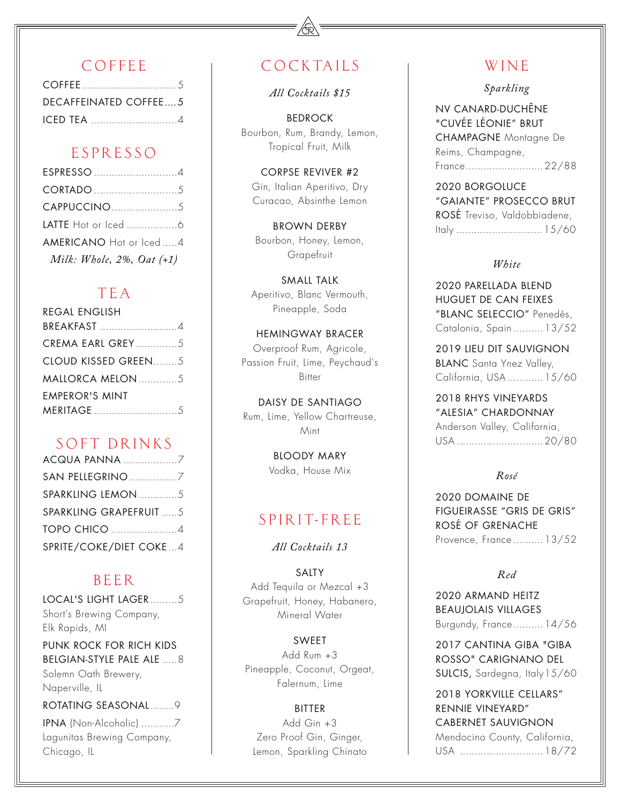## COFFEE

| DECAFFEINATED COFFEE5 |  |
|-----------------------|--|
| <b>ICED TEA</b> 4     |  |

## ESPRESSO

| ESPRESSO 4                |
|---------------------------|
|                           |
|                           |
|                           |
| AMERICANO Hot or lced4    |
| Milk: Whole, 2%, Oat (+1) |

## TEA

| <b>REGAL ENGLISH</b>    |
|-------------------------|
| BREAKFAST 4             |
| <b>CREMA EARL GREY5</b> |
| CLOUD KISSED GREEN5     |
| MALLORCA MELON 5        |
| <b>FMPFROR'S MINT</b>   |
|                         |

## SOFT DRINKS

| <b>ACQUA PANNA 7</b>           |  |
|--------------------------------|--|
| SAN PELLEGRINO 7               |  |
| SPARKLING LEMON 5              |  |
| <b>SPARKLING GRAPEFRUIT  5</b> |  |
| <b>TOPO CHICO 4</b>            |  |
| SPRITE/COKE/DIET COKE4         |  |

## BEER

LOCAL'S LIGHT LAGER .........5 Short's Brewing Company, Elk Rapids, MI

PUNK ROCK FOR RICH KIDS BELGIAN-STYLE PALE ALE .....8 Solemn Oath Brewery, Naperville, IL

ROTATING SEASONAL........9

IPNA (Non-Alcoholic) ...........7 Lagunitas Brewing Company, Chicago, IL

# **COCKTAILS**

*All Cocktails \$15*

BEDROCK Bourbon, Rum, Brandy, Lemon, Tropical Fruit, Milk

CORPSE REVIVER #2 Gin, Italian Aperitivo, Dry Curacao, Absinthe Lemon

BROWN DERBY Bourbon, Honey, Lemon, Grapefruit

SMALL TALK Aperitivo, Blanc Vermouth, Pineapple, Soda

HEMINGWAY BRACER Overproof Rum, Agricole, Passion Fruit, Lime, Peychaud's Bitter

DAISY DE SANTIAGO Rum, Lime, Yellow Chartreuse, Mint

> BLOODY MARY Vodka, House Mix

# SPIRIT-FREE

*All Cocktails 13* 

SALTY Add Tequila or Mezcal +3 Grapefruit, Honey, Habanero, Mineral Water

SWEET Add Rum +3 Pineapple, Coconut, Orgeat, Falernum, Lime

BITTER Add Gin +3 Zero Proof Gin, Ginger, Lemon, Sparkling Chinato

## WINE

*Sparkling*

NV CANARD-DUCHÊNE "CUVÉE LÉONIE" BRUT CHAMPAGNE Montagne De Reims, Champagne, France..........................22/88

2020 BORGOLUCE "GAIANTE" PROSECCO BRUT ROSÉ Treviso, Valdobbiadene, Italy .............................15/60

### *White*

2020 PARELLADA BLEND HUGUET DE CAN FEIXES "BLANC SELECCIO" Penedès, Catalonia, Spain ..........13/52

2019 LIEU DIT SAUVIGNON BLANC Santa Ynez Valley, California, USA ............15/60

2018 RHYS VINEYARDS "ALESIA" CHARDONNAY Anderson Valley, California, USA .............................20/80

### *Rosé*

2020 DOMAINE DE FIGUEIRASSE "GRIS DE GRIS" ROSÉ OF GRENACHE Provence, France ..........13/52

## *Red*

2020 ARMAND HEITZ BEAUJOLAIS VILLAGES Burgundy, France..........14/56

2017 CANTINA GIBA "GIBA ROSSO" CARIGNANO DEL SULCIS, Sardegna, Italy 15/60

2018 YORKVILLE CELLARS" RENNIE VINEYARD" CABERNET SAUVIGNON Mendocino County, California, USA ............................18/72